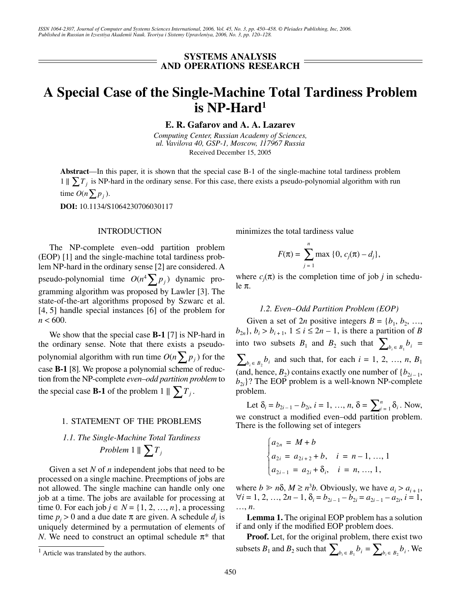### **SYSTEMS ANALYSIS AND OPERATIONS RESEARCH**

# **A Special Case of the Single-Machine Total Tardiness Problem is NP-Hard1**

**E. R. Gafarov and A. A. Lazarev**

*Computing Center, Russian Academy of Sciences, ul. Vavilova 40, GSP-1, Moscow, 117967 Russia* Received December 15, 2005

**Abstract**—In this paper, it is shown that the special case B-1 of the single-machine total tardiness problem  $1 \parallel \sum T_j$  is NP-hard in the ordinary sense. For this case, there exists a pseudo-polynomial algorithm with run time  $O(n \sum p_j)$ .

**DOI:** 10.1134/S1064230706030117

### **INTRODUCTION**

The NP-complete even–odd partition problem (EOP) [1] and the single-machine total tardiness problem NP-hard in the ordinary sense [2] are considered. A pseudo-polynomial time  $O(n^4 \sum p_j)$  dynamic programming algorithm was proposed by Lawler [3]. The state-of-the-art algorithms proposed by Szwarc et al. [4, 5] handle special instances [6] of the problem for  $n < 600$ .

We show that the special case **B-1** [7] is NP-hard in the ordinary sense. Note that there exists a pseudopolynomial algorithm with run time  $O(n \sum p_j)$  for the case **B-1** [8]. We propose a polynomial scheme of reduction from the NP-complete *even–odd partition problem* to the special case **B-1** of the problem  $1 \parallel \sum T_j$ .

### 1. STATEMENT OF THE PROBLEMS

## *1.1. The Single-Machine Total Tardiness Problem*  $1 \parallel \sum T_j$

Given a set *N* of *n* independent jobs that need to be processed on a single machine. Preemptions of jobs are not allowed. The single machine can handle only one job at a time. The jobs are available for processing at time 0. For each job  $j \in N = \{1, 2, ..., n\}$ , a processing time  $p_j > 0$  and a due date  $\pi$  are given. A schedule  $d_j$  is uniquely determined by a permutation of elements of *N*. We need to construct an optimal schedule  $\pi^*$  that minimizes the total tardiness value

$$
F(\pi) = \sum_{j=1}^{n} \max\{0, c_j(\pi) - d_j\},\,
$$

where  $c_j(\pi)$  is the completion time of job *j* in schedule π.

### *1.2. Even–Odd Partition Problem (EOP)*

Given a set of 2*n* positive integers  $B = \{b_1, b_2, \ldots,$  $b_{2n}$ },  $b_i > b_{i+1}$ ,  $1 \le i \le 2n - 1$ , is there a partition of *B* into two subsets  $B_1$  and  $B_2$  such that  $\sum_{b_i \in B_1} b_i =$  $\sum_{b_i \in B_2} b_i$  and such that, for each  $i = 1, 2, ..., n, B_1$ (and, hence,  $B_2$ ) contains exactly one number of  $\{b_{2i-1},$  $b_{2i}$ ? The EOP problem is a well-known NP-complete problem.

Let  $\delta_i = b_{2i-1} - b_{2i}, i = 1, ..., n, \delta = \sum_{i=1}^n \delta_i$ . Now, we construct a modified even–odd partition problem. There is the following set of integers

$$
\begin{cases}\n a_{2n} = M + b \\
 a_{2i} = a_{2i+2} + b, \quad i = n-1, ..., 1 \\
 a_{2i-1} = a_{2i} + \delta_i, \quad i = n, ..., 1,\n\end{cases}
$$

where  $b \ge n\delta$ ,  $M \ge n^3b$ . Obviously, we have  $a_i > a_{i+1}$ ,  $\forall i = 1, 2, ..., 2n - 1, \delta_i = b_{2i-1} - b_{2i} = a_{2i-1} - a_{2i}, i = 1,$ …, *n*.

**Lemma 1.** The original EOP problem has a solution if and only if the modified EOP problem does.

**Proof.** Let, for the original problem, there exist two subsets  $B_1$  and  $B_2$  such that  $\sum_{b_i \in B_1} b_i = \sum_{b_i \in B_2} b_i$ . We

 $<sup>1</sup>$  Article was translated by the authors.</sup>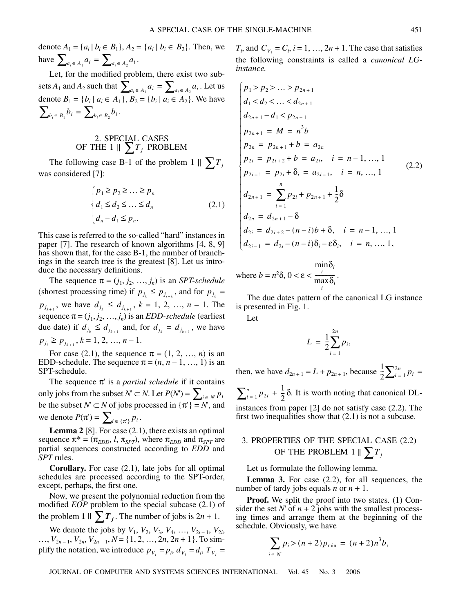denote  $A_1 = \{a_i | b_i \in B_1\}, A_2 = \{a_i | b_i \in B_2\}.$  Then, we have  $\sum_{a_i \in A_1} a_i = \sum_{a_i \in A_2} a_i$ .

Let, for the modified problem, there exist two subsets  $A_1$  and  $A_2$  such that  $\sum_{a_i \in A_1} a_i = \sum_{a_i \in A_2} a_i$ . Let us denote  $B_1 = \{b_i \mid a_i \in A_1\}, B_2 = \{b_i \mid a_i \in A_2\}.$  We have  $\sum_{b_i \in B_1} b_i = \sum_{b_i \in B_2} b_i$ .  $\sum_{a_i \in A_1} a_i = \sum_{a_i \in A_2} a_i$ 

### 2. SPECIAL CASES OF THE 1  $\parallel \sum T_j$  PROBLEM

The following case B-1 of the problem  $1 \parallel \sum T_j$ was considered [7]:

$$
\begin{cases} p_1 \ge p_2 \ge \dots \ge p_n \\ d_1 \le d_2 \le \dots \le d_n \\ d_n - d_1 \le p_n. \end{cases} \tag{2.1}
$$

This case is referred to the so-called "hard" instances in paper [7]. The research of known algorithms [4, 8, 9] has shown that, for the case B-1, the number of branchings in the search tree is the greatest [8]. Let us introduce the necessary definitions.

The sequence  $\pi = (j_1, j_2, ..., j_n)$  is an *SPT-schedule* (shortest processing time) if  $p_{j_k} \leq p_{j_{i+k}}$ , and for  $p_{j_k} =$  $p_{j_{k+1}}$ , we have  $d_{j_k} \leq d_{j_{k+1}}$ ,  $k = 1, 2, ..., n-1$ . The sequence  $\pi = (j_1, j_2, ..., j_n)$  is an *EDD-schedule* (earliest due date) if  $d_{j_k} \leq d_{j_{k+1}}$  and, for  $d_{j_k} = d_{j_{k+1}}$ , we have  $p_{j_i} \geq p_{j_{k+1}}, k = 1, 2, ..., n-1.$ 

For case (2.1), the sequence  $\pi = (1, 2, ..., n)$  is an EDD-schedule. The sequence  $\pi = (n, n-1, ..., 1)$  is an SPT-schedule.

The sequence  $\pi'$  is a *partial schedule* if it contains only jobs from the subset  $N'$  ⊂  $N$ . Let  $P(N')$  = be the subset  $N' \subset N$  of jobs processed in  $\{\pi'\} = N'$ , and we denote  $P(\pi') = \sum_{i \in {\{\pi'\}}} p_i$ .  $\sum_{i \in N'} p_i$ 

**Lemma 2** [8]. For case (2.1), there exists an optimal sequence  $\pi^* = (\pi_{EDD}, l, \pi_{SPT})$ , where  $\pi_{EDD}$  and  $\pi_{SPT}$  are partial sequences constructed according to *EDD* and *SPT* rules.

**Corollary.** For case (2.1), late jobs for all optimal schedules are processed according to the SPT-order, except, perhaps, the first one.

Now, we present the polynomial reduction from the modified *EOP* problem to the special subcase (2.1) of the problem **1**  $\|\sum T_j\|$ . The number of jobs is  $2n + 1$ .

We denote the jobs by  $V_1$ ,  $V_2$ ,  $V_3$ ,  $V_4$ , ...,  $V_{2i-1}$ ,  $V_{2i}$ , ...,  $V_{2n-1}$ ,  $V_{2n}$ ,  $V_{2n+1}$ ,  $N = \{1, 2, ..., 2n, 2n+1\}$ . To simplify the notation, we introduce  $p_{V_i} = p_i$ ,  $d_{V_i} = d_i$ ,  $T_{V_i} =$ 

 $T_i$ , and  $C_{V_i} = C_i$ ,  $i = 1, ..., 2n + 1$ . The case that satisfies the following constraints is called a *canonical LGinstance.*

$$
p_{1} > p_{2} > ... > p_{2n+1}
$$
\n
$$
d_{1} < d_{2} < ... < d_{2n+1}
$$
\n
$$
d_{2n+1} - d_{1} < p_{2n+1}
$$
\n
$$
p_{2n+1} = M = n^{3}b
$$
\n
$$
p_{2n} = p_{2n+1} + b = a_{2n}
$$
\n
$$
p_{2i} = p_{2i+2} + b = a_{2i}, \quad i = n-1, ..., 1
$$
\n
$$
p_{2i-1} = p_{2i} + \delta_{i} = a_{2i-1}, \quad i = n, ..., 1
$$
\n
$$
d_{2n+1} = \sum_{i=1}^{n} p_{2i} + p_{2n+1} + \frac{1}{2}\delta
$$
\n
$$
d_{2n} = d_{2n+1} - \delta
$$
\n
$$
d_{2i} = d_{2i+2} - (n-i)b + \delta, \quad i = n-1, ..., 1
$$
\n
$$
d_{2i-1} = d_{2i} - (n-i)\delta_{i} - \epsilon \delta_{i}, \quad i = n, ..., 1,
$$

where  $b = n^2 \delta$ ,  $0 < \varepsilon < \frac{i}{n}$ . δ*i i* min  $\frac{1}{\max \delta_i}$ *i*

The due dates pattern of the canonical LG instance is presented in Fig. 1.

Let

$$
L = \frac{1}{2} \sum_{i=1}^{2n} p_i,
$$

then, we have  $d_{2n+1} = L + p_{2n+1}$ , because  $\frac{1}{2} \sum_{i=1}^{2n} p_i =$  $\sum_{i=1}^{n} p_{2i} + \frac{1}{2} \delta$ . It is worth noting that canonical DLinstances from paper [2] do not satisfy case (2.2). The first two inequalities show that (2.1) is not a subcase.  $\frac{1}{2}\sum_{i=1}^{2n} p_i$ 

### 3. PROPERTIES OF THE SPECIAL CASE (2.2) OF THE PROBLEM  $1 \parallel \sum T_j$

Let us formulate the following lemma.

**Lemma 3.** For case (2.2), for all sequences, the number of tardy jobs equals *n* or  $n + 1$ .

**Proof.** We split the proof into two states. (1) Consider the set *N*' of  $n + 2$  jobs with the smallest processing times and arrange them at the beginning of the schedule. Obviously, we have

$$
\sum_{i \in N'} p_i > (n+2)p_{\min} = (n+2)n^3b,
$$

JOURNAL OF COMPUTER AND SYSTEMS SCIENCES INTERNATIONAL Vol. 45 No. 3 2006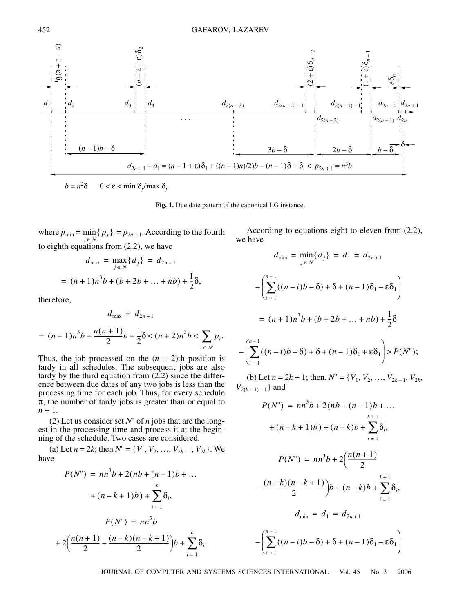

**Fig. 1.** Due date pattern of the canonical LG instance.

where  $p_{\min} = \min_{j \in N} \{ p_j \} = p_{2n+1}$ . According to the fourth to eighth equations from (2.2), we have

$$
d_{\max} = \max_{j \in N} \{d_j\} = d_{2n+1}
$$
  
=  $(n+1)n^3b + (b+2b+...+nb) + \frac{1}{2}\delta$ ,

therefore,

$$
d_{\max} = d_{2n+1}
$$
  
=  $(n+1)n^3b + \frac{n(n+1)}{2}b + \frac{1}{2}\delta < (n+2)n^3b < \sum_{i \in N'} p_i$ .

Thus, the job processed on the  $(n + 2)$ th position is tardy in all schedules. The subsequent jobs are also tardy by the third equation from  $(2.2)$  since the difference between due dates of any two jobs is less than the processing time for each job. Thus, for every schedule  $\pi$ , the number of tardy jobs is greater than or equal to  $n + 1$ .

(2) Let us consider set *N*'' of *n* jobs that are the longest in the processing time and process it at the beginning of the schedule. Two cases are considered.

(a) Let  $n = 2k$ ; then  $N'' = \{V_1, V_2, ..., V_{2k-1}, V_{2k}\}\)$ . We have

$$
P(N") = nn3b + 2(nb + (n - 1)b + ...
$$
  
+ $(n - k + 1)b$ ) +  $\sum_{i=1}^{k} \delta_i$ ,  

$$
P(N") = nn3b
$$
  
+ $2\left(\frac{n(n + 1)}{2} - \frac{(n - k)(n - k + 1)}{2}\right)b + \sum_{i=1}^{k} \delta_i$ .

According to equations eight to eleven from (2.2), we have

$$
d_{\min} = \min_{j \in N} \{d_j\} = d_1 = d_{2n+1}
$$
  

$$
-\left(\sum_{i=1}^{n-1} ((n-i)b - \delta) + \delta + (n-1)\delta_1 - \epsilon \delta_1\right)
$$
  

$$
= (n+1)n^3b + (b+2b+...+nb) + \frac{1}{2}\delta
$$
  

$$
-\left(\sum_{i=1}^{n-1} ((n-i)b - \delta) + \delta + (n-1)\delta_1 + \epsilon \delta_1\right) > P(N'');
$$

(b) Let  $n = 2k + 1$ ; then,  $N'' = \{V_1, V_2, ..., V_{2k-1}, V_{2k}\}$  $V_{2(k+1)-1}$ } and

$$
\frac{1}{2} \int_{\frac{1}{2}(n-2)-1}^{\frac{1}{2}(n-1)} \frac{d_{2(n-1)-1}}{2(n-1)} \cdot \frac{d_{2(n-1)}}{2(n-1)} \cdot \frac{d_{2(n-1)}}{2(n-1)} \cdot \frac{d_{2(n-1)}}{2(n-1)} \cdot \frac{d_{2(n-1)}}{2(n-1)} \cdot \frac{d_{2(n-1)}}{2(n-1)} \cdot \frac{d_{2(n-1)}}{2(n-1)} \cdot \frac{d_{2(n-1)}}{2(n-1)} \cdot \frac{d_{2(n-1)}}{2(n-1)} \cdot \frac{d_{2(n-1)}}{2(n-1)} \cdot \frac{2b-8}{2(b-8)} \cdot \frac{2b-8}{b-8} \cdot \frac{b-8}{b-8} \cdot \frac{2b-8}{b-8} \cdot \frac{2b-8}{b-8} \cdot \frac{2b-8}{b-8} \cdot \frac{2b-8}{b-8} \cdot \frac{2b-8}{b-8} \cdot \frac{2b-8}{b-8} \cdot \frac{2b-8}{b-8} \cdot \frac{2b-8}{b-8} \cdot \frac{2b-8}{b-8} \cdot \frac{2b-8}{b-8} \cdot \frac{2b-8}{b-8} \cdot \frac{2b-8}{b-8} \cdot \frac{2b-8}{b-8} \cdot \frac{2b-8}{b-8} \cdot \frac{2b-8}{b-8} \cdot \frac{2b-8}{b-8} \cdot \frac{2b-8}{b-8} \cdot \frac{2b-8}{b-8} \cdot \frac{2b-8}{b-8} \cdot \frac{2b-8}{b-8} \cdot \frac{2b-8}{b-8} \cdot \frac{2b-8}{b-8} \cdot \frac{2b-8}{b-8} \cdot \frac{2b-8}{b-8} \cdot \frac{2b-8}{b-8} \cdot \frac{2b-8}{b-8} \cdot \frac{2b-8}{b-8} \cdot \frac{2b-8}{b-8} \cdot \frac{2b-8}{b-8} \cdot \frac{2b-8}{b-8} \cdot \frac{2b-8}{b-8} \cdot \frac{2b-8}{b-8} \cdot \frac{2b-8}{b-8} \cdot \frac{2b-8}{b-8} \cdot \frac{2b-8}{b-8} \cdot \frac{2b-8}{b-8
$$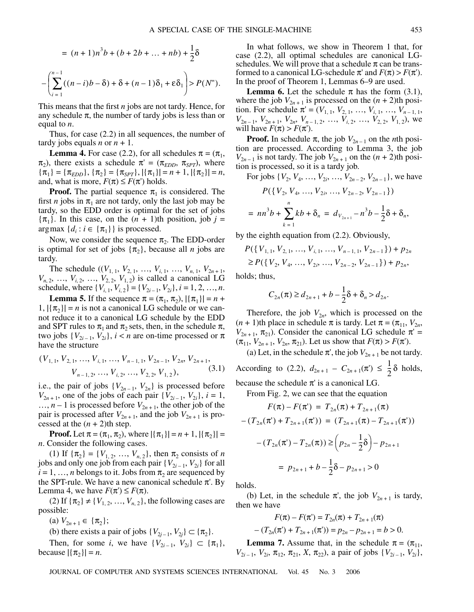$$
= (n+1)n^{3}b + (b+2b+...+nb) + \frac{1}{2}\delta
$$
  

$$
-\left(\sum_{i=1}^{n-1} ((n-i)b - \delta) + \delta + (n-1)\delta_{1} + \epsilon \delta_{1}\right) > P(N^{n}).
$$

This means that the first *n* jobs are not tardy. Hence, for any schedule  $\pi$ , the number of tardy jobs is less than or equal to *n*.

Thus, for case (2.2) in all sequences, the number of tardy jobs equals *n* or  $n + 1$ .

**Lemma 4.** For case (2.2), for all schedules  $\pi = (\pi_1, \pi_2)$  $\pi_2$ ), there exists a schedule  $\pi' = (\pi_{EDD}, \pi_{SPT})$ , where  ${\pi_1} = {\pi_{EDD}}, {\pi_2} = {\pi_{SPT}}, {\pi_1} = n + 1, {\pi_2} = n,$ and, what is more,  $F(\pi) \leq F(\pi')$  holds.

**Proof.** The partial sequence  $\pi_1$  is considered. The first *n* jobs in  $\pi_1$  are not tardy, only the last job may be tardy, so the EDD order is optimal for the set of jobs  $\{\pi_1\}$ . In this case, on the  $(n + 1)$ th position, job  $j = 1$  $argmax \{d_i : i \in \{\pi_1\}\}\$ is processed.

Now, we consider the sequence  $\pi_2$ . The EDD-order is optimal for set of jobs  $\{\pi_2\}$ , because all *n* jobs are tardy.

The schedule  $((V_{1, 1}, V_{2, 1}, ..., V_{i, 1}, ..., V_{n, 1}, V_{2n+1},$  $V_{n, 2}, \ldots, V_{i, 2}, \ldots, V_{2, 2}, V_{1, 2}$  is called a canonical LG schedule, where  $\{V_{i, 1}, V_{i, 2}\} = \{V_{2i-1}, V_{2i}\}, i = 1, 2, ..., n$ .

**Lemma 5.** If the sequence  $\pi = (\pi_1, \pi_2), |\{\pi_1\}| = n +$  $|1, |\{\pi_{2}\}| = n$  is not a canonical LG schedule or we cannot reduce it to a canonical LG schedule by the EDD and SPT rules to  $\pi_1$  and  $\pi_2$  sets, then, in the schedule  $\pi$ , two jobs  $\{V_{2i-1}, V_{2i}\}, i < n$  are on-time processed or  $\pi$ have the structure

$$
(V_{1,1}, V_{2,1}, ..., V_{i,1}, ..., V_{n-1,1}, V_{2n-1}, V_{2n}, V_{2n+1}, V_{n-1,2}, ..., V_{i,2}, ..., V_{2,2}, V_{1,2}),
$$
\n(3.1)

i.e., the pair of jobs  ${V_{2n-1}, V_{2n}}$  is processed before  $V_{2n+1}$ , one of the jobs of each pair  $\{V_{2i-1}, V_{2i}\}, i = 1$ ,  $..., n-1$  is processed before  $V_{2n+1}$ , the other job of the pair is processed after  $V_{2n+1}$ , and the job  $V_{2n+1}$  is processed at the  $(n + 2)$ th step.

**Proof.** Let  $\pi = (\pi_1, \pi_2)$ , where  $|\{\pi_1\}| = n + 1$ ,  $|\{\pi_2\}| =$ *n*. Consider the following cases.

(1) If  $\{\pi_2\} = \{V_{1,2}, ..., V_{n,2}\}$ , then  $\pi_2$  consists of *n* jobs and only one job from each pair  $\{V_{2i-1}, V_{2i}\}$  for all  $i = 1, \ldots, n$  belongs to it. Jobs from  $\pi_2$  are sequenced by the SPT-rule. We have a new canonical schedule  $\pi$ . By Lemma 4, we have  $F(\pi') \leq F(\pi)$ .

(2) If  $\{\pi_2\} \neq \{V_{1,2}, ..., V_{n,2}\}$ , the following cases are possible:

(a)  $V_{2n+1} \in {\pi_2};$ 

(b) there exists a pair of jobs  $\{V_{2j-1}, V_{2j}\} \subset \{\pi_2\}.$ 

Then, for some *i*, we have  $\{V_{2i-1}, V_{2i}\} \subset \{\pi_1\},\$ because  $|{\pi_2}| = n$ .

In what follows, we show in Theorem 1 that, for case (2.2), all optimal schedules are canonical LGschedules. We will prove that a schedule  $\pi$  can be transformed to a canonical LG-schedule  $\pi'$  and  $F(\pi) > F(\pi')$ . In the proof of Theorem 1, Lemmas 6–9 are used.

**Lemma 6.** Let the schedule  $\pi$  has the form (3.1), where the job  $V_{2n+1}$  is processed on the  $(n+2)$ th position. For schedule  $\pi' = (V_{1, 1}, V_{2, 1}, ..., V_{i, 1}, ..., V_{n-1, 1},$  $V_{2n-1}$ ,  $V_{2n+1}$ ,  $V_{2n}$ ,  $V_{n-1, 2}$ , …,  $V_{i, 2}$ , …,  $V_{2, 2}$ ,  $V_{1, 2}$ ), we will have  $F(\pi) > F(\pi')$ .

**Proof.** In schedule  $\pi$ , the job  $V_{2n-1}$  on the *n*th position are processed. According to Lemma 3, the job  $V_{2n-1}$  is not tardy. The job  $V_{2n+1}$  on the  $(n+2)$ th position is processed, so it is a tardy job.

For jobs  $\{V_2, V_4, \ldots, V_{2i}, \ldots, V_{2n-2}, V_{2n-1}\}$ , we have

$$
P({ V2, V4, ..., V2i, ..., V2n-2, V2n-1 })
$$
  
=  $nn3b + \sum_{k=1}^{n} kb + \delta_n = d_{V_{2n+1}} - n3b - \frac{1}{2}\delta + \delta_n,$ 

by the eighth equation from (2.2). Obviously,

$$
P({V_{1,1}, V_{2,1}, ..., V_{i,1}, ..., V_{n-1,1}, V_{2n-1}}) + p_{2n}
$$
  
\n
$$
\geq P({V_2, V_4, ..., V_{2i}, ..., V_{2n-2}, V_{2n-1}}) + p_{2n},
$$

holds; thus,

$$
C_{2n}(\pi) \ge d_{2n+1} + b - \frac{1}{2}\delta + \delta_n > d_{2n}.
$$

Therefore, the job  $V_{2n}$ , which is processed on the  $(n + 1)$ th place in schedule  $\pi$  is tardy. Let  $\pi = (\pi_{11}, V_{2n},$  $V_{2n+1}$ ,  $\pi_{21}$ ). Consider the canonical LG schedule  $\pi'$  =  $(\pi_{11}, V_{2n+1}, V_{2n}, \pi_{21})$ . Let us show that  $F(\pi) > F(\pi')$ .

(a) Let, in the schedule  $\pi'$ , the job  $V_{2n+1}$  be not tardy.

According to (2.2),  $d_{2n+1} - C_{2n+1}(\pi) \leq \frac{1}{2}\delta$  holds,  $\frac{1}{2}$ 

because the schedule  $\pi$ ' is a canonical LG.

From Fig. 2, we can see that the equation

$$
F(\pi) - F(\pi') = T_{2n}(\pi) + T_{2n+1}(\pi)
$$

$$
- (T_{2n}(\pi') + T_{2n+1}(\pi')) = (T_{2n+1}(\pi) - T_{2n+1}(\pi'))
$$

$$
- (T_{2n}(\pi') - T_{2n}(\pi)) \ge \left(p_{2n} - \frac{1}{2}\delta\right) - p_{2n+1}
$$

$$
= p_{2n+1} + b - \frac{1}{2}\delta - p_{2n+1} > 0
$$

holds.

(b) Let, in the schedule  $\pi'$ , the job  $V_{2n+1}$  is tardy, then we have

$$
F(\pi) - F(\pi') = T_{2n}(\pi) + T_{2n+1}(\pi)
$$

$$
- (T_{2n}(\pi') + T_{2n+1}(\pi')) = p_{2n} - p_{2n+1} = b > 0.
$$

**Lemma 7.** Assume that, in the schedule  $\pi = (\pi_{11},$  $V_{2i-1}$ ,  $V_{2i}$ ,  $\pi_{12}$ ,  $\pi_{21}$ ,  $X$ ,  $\pi_{22}$ ), a pair of jobs  $\{V_{2i-1}, V_{2i}\}$ ,

JOURNAL OF COMPUTER AND SYSTEMS SCIENCES INTERNATIONAL Vol. 45 No. 3 2006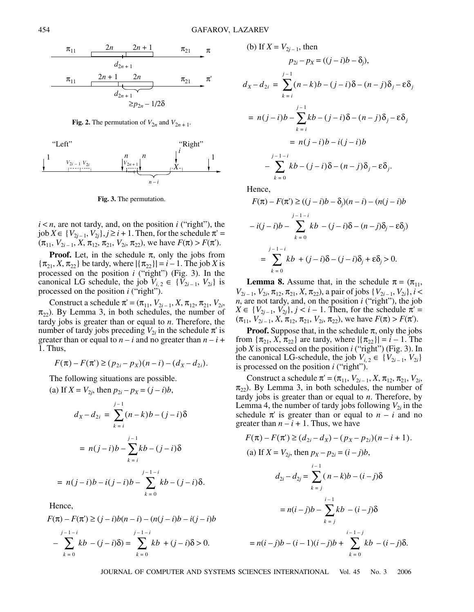

**Fig. 2.** The permutation of  $V_{2n}$  and  $V_{2n+1}$ .



**Fig. 3.** The permutation.

 $i < n$ , are not tardy, and, on the position  $i$  ("right"), the  $j$ ob  $X \in \{V_{2j-1}, V_{2j}\}, j \geq i+1$ . Then, for the schedule  $\pi' =$  $(\pi_{11}, V_{2i-1}, X, \pi_{12}, \pi_{21}, V_{2i}, \pi_{22})$ , we have  $F(\pi) > F(\pi')$ .

**Proof.** Let, in the schedule  $\pi$ , only the jobs from  $\{\pi_{21}, X, \pi_{22}\}\$ be tardy, where  $|\{\pi_{22}\}| = i - 1$ . The job *X* is processed on the position *i* ("right") (Fig. 3). In the canonical LG schedule, the job  $V_{i,2} \in \{V_{2i-1}, V_{2i}\}\$ is processed on the position *i* ("right").

Construct a schedule  $\pi' = (\pi_{11}, V_{2i-1}, X, \pi_{12}, \pi_{21}, V_{2i},$  $\pi_{22}$ ). By Lemma 3, in both schedules, the number of tardy jobs is greater than or equal to *n*. Therefore, the number of tardy jobs preceding  $V_{2i}$  in the schedule  $\pi$ ' is greater than or equal to  $n - i$  and no greater than  $n - i$  + 1. Thus,

$$
F(\pi) - F(\pi') \ge (p_{2i} - p_X)(n - i) - (d_X - d_{2i}).
$$

The following situations are possible.

(a) If 
$$
X = V_{2j}
$$
, then  $p_{2i} - p_X = (j - i)b$ ,  
\n
$$
d_X - d_{2i} = \sum_{k=i}^{j-1} (n - k)b - (j - i)\delta
$$
\n
$$
= n(j - i)b - \sum_{k=i}^{j-1} kb - (j - i)\delta
$$
\n
$$
= n(j - i)b - i(j - i)b - \sum_{k=0}^{j-1-i} kb - (j - i)\delta.
$$

Hence,

$$
F(\pi) - F(\pi') \ge (j - i)b(n - i) - (n(j - i)b - i(j - i)b
$$
  

$$
- \sum_{k=0}^{j-1-i} kb - (j - i)\delta = \sum_{k=0}^{j-1-i} kb + (j - i)\delta > 0.
$$

(b) If 
$$
X = V_{2j-1}
$$
, then  
\n
$$
p_{2i} - p_X = ((j - i)b - \delta_j),
$$
\n
$$
d_X - d_{2i} = \sum_{k=1}^{j-1} (n - k)b - (j - i)\delta - (n - j)\delta_j - \epsilon \delta_j
$$
\n
$$
= n(j - i)b - \sum_{k=1}^{j-1} kb - (j - i)\delta - (n - j)\delta_j - \epsilon \delta_j
$$
\n
$$
= n(j - i)b - i(j - i)b
$$
\n
$$
-\sum_{k=0}^{j-1-i} kb - (j - i)\delta - (n - j)\delta_j - \epsilon \delta_j.
$$

Hence,

$$
F(\pi) - F(\pi') \ge ((j - i)b - \delta_j)(n - i) - (n(j - i)b
$$
  

$$
-i(j - i)b - \sum_{k=0}^{j-1-i} kb - (j - i)\delta - (n - j)\delta_j - \varepsilon \delta_j)
$$
  

$$
= \sum_{k=0}^{j-1-i} kb + (j - i)\delta - (j - i)\delta_j + \varepsilon \delta_j > 0.
$$

**Lemma 8.** Assume that, in the schedule  $\pi = (\pi_{11}, \pi_{12})$  $V_{2i-1}, V_{2i}, \pi_{12}, \pi_{21}, X, \pi_{22}$ , a pair of jobs  $\{V_{2i-1}, V_{2i}\}, i <$ *n*, are not tardy, and, on the position *i* ("right"), the job  $X \in \{V_{2j-1}, V_{2j}\}, j < i-1$ . Then, for the schedule  $\pi' =$  $(\pi_{11}, V_{2i-1}, X, \pi_{12}, \pi_{21}, V_{2i}, \pi_{22})$ , we have  $F(\pi) > F(\pi')$ .

**Proof.** Suppose that, in the schedule  $\pi$ , only the jobs from  $\{\pi_{21}, X, \pi_{22}\}\$  are tardy, where  $|\{\pi_{22}\}| = i - 1$ . The job *X* is processed on the position *i* ("right") (Fig. 3). In the canonical LG-schedule, the job  $V_{i,2} \in \{V_{2i-1}, V_{2i}\}\$ is processed on the position *i* ("right").

Construct a schedule  $\pi' = (\pi_{11}, V_{2i-1}, X, \pi_{12}, \pi_{21}, V_{2i},$  $\pi_{22}$ ). By Lemma 3, in both schedules, the number of tardy jobs is greater than or equal to *n*. Therefore, by Lemma 4, the number of tardy jobs following  $V_{2i}$  in the schedule  $\pi'$  is greater than or equal to  $n - i$  and no greater than  $n - i + 1$ . Thus, we have

$$
F(\pi) - F(\pi') \ge (d_{2i} - d_X) - (p_X - p_{2i})(n - i + 1).
$$
  
(a) If  $X = V_{2j}$ , then  $p_X - p_{2i} = (i - j)b$ ,  

$$
d_{2i} - d_{2j} = \sum_{k=j}^{i-1} (n - k)b - (i - j)\delta
$$

$$
= n(i - j)b - \sum_{k=j}^{i-1} kb - (i - j)\delta
$$

$$
= n(i - j)b - (i - 1)(i - j)b + \sum_{k=0}^{i-1-j} kb - (i - j)\delta.
$$

JOURNAL OF COMPUTER AND SYSTEMS SCIENCES INTERNATIONAL Vol. 45 No. 3 2006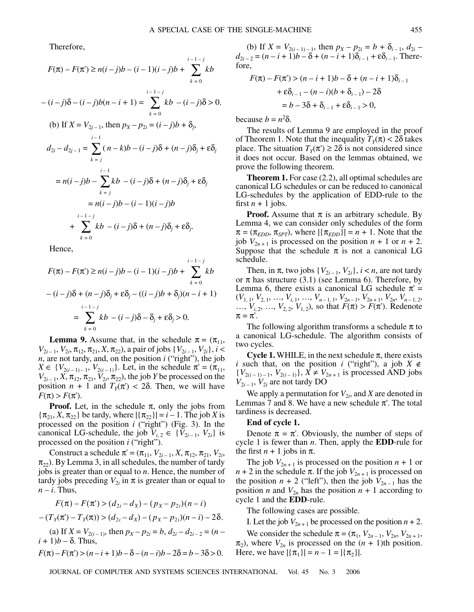Therefore,

$$
F(\pi) - F(\pi') \ge n(i - j)b - (i - 1)(i - j)b + \sum_{k=0}^{i-1-j} kb
$$
  
\n
$$
-(i - j)\delta - (i - j)b(n - i + 1) = \sum_{k=0}^{i-1-j} kb - (i - j)\delta > 0.
$$
  
\n(b) If  $X = V_{2j-1}$ , then  $p_X - p_{2i} = (i - j)b + \delta_j$ ,  
\n
$$
d_{2i} - d_{2j-1} = \sum_{k=j}^{i-1} (n - k)b - (i - j)\delta + (n - j)\delta_j + \epsilon \delta_j
$$
  
\n
$$
= n(i - j)b - \sum_{k=j}^{i-1} kb - (i - j)\delta + (n - j)\delta_j + \epsilon \delta_j
$$
  
\n
$$
= n(i - j)b - (i - 1)(i - j)b
$$
  
\n
$$
+ \sum_{k=0}^{i-1-j} kb - (i - j)\delta + (n - j)\delta_j + \epsilon \delta_j.
$$

Hence,

$$
F(\pi) - F(\pi') \ge n(i-j)b - (i-1)(i-j)b + \sum_{k=0}^{i-1-j} kb
$$
  

$$
- (i-j)\delta + (n-j)\delta_j + \varepsilon \delta_j - ((i-j)b + \delta_j)(n-i+1)
$$
  

$$
= \sum_{k=0}^{i-1-j} kb - (i-j)\delta - \delta_j + \varepsilon \delta_j > 0.
$$

**Lemma 9.** Assume that, in the schedule  $\pi = (\pi_{11},$  $V_{2i-1}, V_{2i}, \pi_{12}, \pi_{21}, X, \pi_{22}$ , a pair of jobs  $\{V_{2i-1}, V_{2i}\}, i <$ *n*, are not tardy, and, on the position *i* ("right"), the job  $X \in \{V_{2(i-1)-1}, V_{2(i-1)}\}$ . Let, in the schedule  $\pi' = (\pi_{11},$  $V_{2i-1}$ , *X*,  $\pi_{12}$ ,  $\pi_{21}$ ,  $V_{2i}$ ,  $\pi_{22}$ ), the job *Y* be processed on the position  $n + 1$  and  $T_Y(\pi) < 2\delta$ . Then, we will have  $F(\pi) > F(\pi')$ .

**Proof.** Let, in the schedule  $\pi$ , only the jobs from  ${\pi_{21}, X, \pi_{22}}$  be tardy, where  ${\pi_{22}} = i - 1$ . The job *X* is processed on the position *i* ("right") (Fig. 3). In the canonical LG-schedule, the job  $V_{i,2} \in \{V_{2i-1}, V_{2i}\}\$ is processed on the position *i* ("right").

Construct a schedule  $\pi' = (\pi_{11}, V_{2i-1}, X, \pi_{12}, \pi_{21}, V_{2i},$  $\pi_{22}$ ). By Lemma 3, in all schedules, the number of tardy jobs is greater than or equal to *n*. Hence, the number of tardy jobs preceding  $V_{2i}$  in  $\pi$  is greater than or equal to  $n - i$ . Thus,

$$
F(\pi) - F(\pi') > (d_{2i} - d_X) - (p_X - p_{2i})(n - i)
$$

$$
-(T_Y(\pi)-T_Y(\pi))>(d_{2i}-d_X)-(p_X-p_{2i})(n-i)-2\delta.
$$

(a) If  $X = V_{2(i-1)}$ , then  $p_X - p_{2i} = b$ ,  $d_{2i} - d_{2i-2} = (n - 1)$  $(i + 1)b - \delta$ . Thus,

$$
F(\pi) - F(\pi') > (n - i + 1)b - \delta - (n - i)b - 2\delta = b - 3\delta > 0.
$$

(b) If  $X = V_{2(i-1)-1}$ , then  $p_X - p_{2i} = b + \delta_{i-1}$ ,  $d_{2i}$  $d_{2i-2} = (n-i+1)b - \delta + (n-i+1)\delta_{i-1} + \epsilon \delta_{i-1}$ . Therefore,

$$
F(\pi) - F(\pi') > (n - i + 1)b - \delta + (n - i + 1)\delta_{i-1}
$$
\n
$$
+ \varepsilon \delta_{i-1} - (n - i)(b + \delta_{i-1}) - 2\delta
$$
\n
$$
= b - 3\delta + \delta_{i-1} + \varepsilon \delta_{i-1} > 0,
$$

because  $b = n^2\delta$ .

The results of Lemma 9 are employed in the proof of Theorem 1. Note that the inequality  $T_Y(\pi) < 2\delta$  takes place. The situation  $T_Y(\pi') \geq 2\delta$  is not considered since it does not occur. Based on the lemmas obtained, we prove the following theorem.

**Theorem 1.** For case (2.2), all optimal schedules are canonical LG schedules or can be reduced to canonical LG-schedules by the application of EDD-rule to the first  $n + 1$  jobs.

**Proof.** Assume that  $\pi$  is an arbitrary schedule. By Lemma 4, we can consider only schedules of the form  $\pi = (\pi_{EDD}, \pi_{SPT})$ , where  $|\{\pi_{EDD}\}| = n + 1$ . Note that the job  $V_{2n+1}$  is processed on the position  $n + 1$  or  $n + 2$ . Suppose that the schedule  $\pi$  is not a canonical LG schedule.

Then, in  $\pi$ , two jobs  $\{V_{2i-1}, V_{2i}\}, i < n$ , are not tardy or  $\pi$  has structure (3.1) (see Lemma 6). Therefore, by Lemma 6, there exists a canonical LG schedule  $\pi$  =  $(V_{1, 1}, V_{2, 1}, \ldots, V_{i, 1}, \ldots, V_{n-1, 1}, V_{2n-1}, V_{2n+1}, V_{2n}, V_{n-1, 2},$ ...,  $V_{i,2}$ , ...,  $V_{2,2}$ ,  $V_{1,2}$ ), so that  $F(\pi) > F(\pi')$ . Redenote  $\pi = \pi'.$ 

The following algorithm transforms a schedule  $\pi$  to a canonical LG-schedule. The algorithm consists of two cycles.

**Cycle 1.** WHILE, in the next schedule  $\pi$ , there exists *i* such that, on the position *i* ("right"), a job  $X \notin$ {*V*<sub>2(*i* − 1) − 1</sub>, *V*<sub>2(*i* − 1)</sub>}, *X* ≠ *V*<sub>2*n*+1</sub> is processed AND jobs  $V_{2i-1}$ ,  $V_{2i}$  are not tardy DO

We apply a permutation for  $V_{2i}$ , and *X* are denoted in Lemmas 7 and 8. We have a new schedule  $\pi'$ . The total tardiness is decreased.

#### **End of cycle 1.**

Denote  $\pi = \pi'$ . Obviously, the number of steps of cycle 1 is fewer than *n*. Then, apply the **EDD**-rule for the first  $n + 1$  jobs in  $\pi$ .

The job  $V_{2n+1}$  is processed on the position  $n + 1$  or  $n + 2$  in the schedule  $\pi$ . If the job  $V_{2n+1}$  is processed on the position  $n + 2$  ("left"), then the job  $V_{2n-1}$  has the position *n* and  $V_{2n}$  has the position  $n + 1$  according to cycle 1 and the **EDD**-rule.

The following cases are possible.

I. Let the job  $V_{2n+1}$  be processed on the position  $n+2$ .

We consider the schedule  $\pi = (\pi_1, V_{2n-1}, V_{2n}, V_{2n+1},$  $\pi_2$ ), where  $V_{2n}$  is processed on the  $(n + 1)$ th position. Here, we have  $|\{\pi_1\}| = n - 1 = |\{\pi_2\}|$ .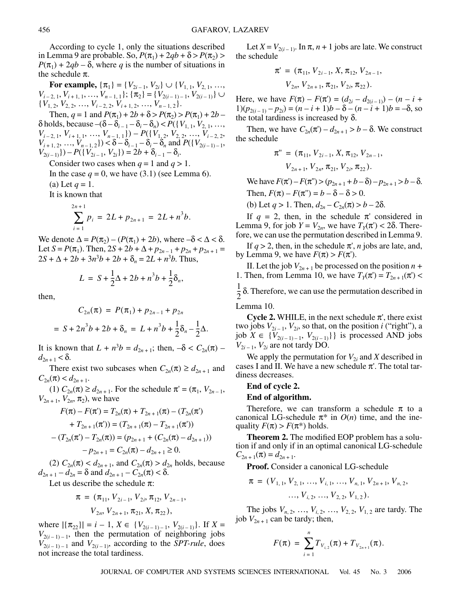According to cycle 1, only the situations described in Lemma 9 are probable. So,  $P(\pi_1) + 2qb + \delta > P(\pi_2)$  $P(\pi_1) + 2qb - \delta$ , where *q* is the number of situations in the schedule  $\pi$ .

**For example,**  $\{\pi_1\} = \{V_{2i-1}, V_{2i}\} \cup \{V_{1, 1}, V_{2, 1}, \ldots, V_{n}\}$  $V_{i-2, 1}, V_{i+1, 1}, \ldots, V_{n-1, 1}$ ; {π<sub>2</sub>} = { $V_{2(i-1)-1}, V_{2(i-1)}$ } ∪  $\{V_{1, 2}, V_{2, 2}, \ldots, V_{i-2, 2}, V_{i+1, 2}, \ldots, V_{n-1, 2}\}.$ 

Then,  $q = 1$  and  $P(\pi_1) + 2b + \delta > P(\pi_2) > P(\pi_1) + 2b$  $\delta$  holds, because  $-(\delta - \delta_{i-1} - \delta_i - \delta_n) < P({V_{1, 1}, V_{2, 1}, ..., \delta_{i-1}})$  $V_{i-2, 1}, V_{i+1, 1}, \ldots, V_{n-1, 1}) - P({V_{1, 2}, V_{2, 2}, \ldots, V_{i-2, 2})}$  $V_{i+1, 2}, \ldots, V_{n-1, 2}$ ) <  $\delta - \delta_{i-1} - \delta_i - \delta_n$  and  $P({V_{2(i-1)-1}},$  $V_{2(i-1)}$ } $) - P({V_{2i-1}, V_{2i}}) = 2b + \delta_{i-1} - \delta_i$ .

Consider two cases when  $q = 1$  and  $q > 1$ .

In the case  $q = 0$ , we have (3.1) (see Lemma 6). (a) Let  $q = 1$ .

It is known that

$$
\sum_{i=1}^{2n+1} p_i = 2L + p_{2n+1} = 2L + n^3b.
$$

We denote  $\Delta = P(\pi_2) - (P(\pi_1) + 2b)$ , where  $-\delta < \Delta < \delta$ . Let *S* =  $P(\pi_1)$ . Then, 2*S* + 2*b* +  $\Delta$  +  $p_{2n-1}$  +  $p_{2n}$  +  $p_{2n+1}$  =  $2S + \Delta + 2b + 3n^3b + 2b + \delta_n = 2L + n^3b$ . Thus,

$$
L = S + \frac{1}{2}\Delta + 2b + n^3b + \frac{1}{2}\delta_n,
$$

then,

$$
C_{2n}(\pi) = P(\pi_1) + p_{2n-1} + p_{2n}
$$
  
=  $S + 2n^3b + 2b + \delta_n = L + n^3b + \frac{1}{2}\delta_n - \frac{1}{2}\Delta$ .

It is known that  $L + n^3b = d_{2n+1}$ ; then,  $-\delta < C_{2n}(\pi)$  $d_{2n+1}$  < δ.

There exist two subcases when  $C_{2n}(\pi) \ge d_{2n+1}$  and  $C_{2n}(\pi) < d_{2n+1}$ .

(1)  $C_{2n}(\pi) \ge d_{2n+1}$ . For the schedule  $\pi' = (\pi_1, V_{2n-1},$  $V_{2n+1}$ ,  $V_{2n}$ ,  $\pi_2$ ), we have

$$
F(\pi) - F(\pi') = T_{2n}(\pi) + T_{2n+1}(\pi) - (T_{2n}(\pi'))
$$
  
+  $T_{2n+1}(\pi')) = (T_{2n+1}(\pi) - T_{2n+1}(\pi'))$   
-  $(T_{2n}(\pi') - T_{2n}(\pi)) = (p_{2n+1} + (C_{2n}(\pi) - d_{2n+1}))$   
-  $p_{2n+1} = C_{2n}(\pi) - d_{2n+1} \ge 0.$ 

(2)  $C_{2n}(\pi) < d_{2n+1}$ , and  $C_{2n}(\pi) > d_{2n}$  holds, because  $d_{2n+1} - d_{2n} = \delta$  and  $d_{2n+1} - C_{2n}(\pi) < \delta$ .

Let us describe the schedule  $\pi$ :

$$
\pi = (\pi_{11}, V_{2i-1}, V_{2i}, \pi_{12}, V_{2n-1}, V_{2n}, V_{2n+1}, \pi_{21}, X, \pi_{22}),
$$

where  $|\{\pi_{22}\}| = i - 1$ ,  $X \in \{V_{2(i-1)-1}, V_{2(i-1)}\}$ . If  $X =$  $V_{2(i-1)-1}$ , then the permutation of neighboring jobs  $V_{2(i-1)-1}$  and  $V_{2(i-1)}$ , according to the *SPT-rule*, does not increase the total tardiness.

Let  $X = V_{2(i-1)}$ . In  $\pi$ ,  $n+1$  jobs are late. We construct the schedule

$$
\pi' = (\pi_{11}, V_{2i-1}, X, \pi_{12}, V_{2n-1}, V_{2n}, V_{2n+1}, \pi_{21}, V_{2i}, \pi_{22}).
$$

Here, we have  $F(\pi) - F(\pi') = (d_{2i} - d_{2(i-1)}) - (n - i + \pi)$  $1)(p_{2(i-1)} - p_{2i}) = (n - i + 1)b - \delta - (n - i + 1)b = -\delta$ , so the total tardiness is increased by δ.

Then, we have  $C_{2n}(\pi) - d_{2n+1} > b - \delta$ . We construct the schedule

$$
\pi'' = (\pi_{11}, V_{2i-1}, X, \pi_{12}, V_{2n-1}, V_{2n+1}, V_{2n}, \pi_{21}, V_{2i}, \pi_{22}).
$$

We have  $F(π') – F(π'') > (p_{2n+1} + b - δ) – p_{2n+1} > b - δ.$ Then,  $F(\pi) - F(\pi") = b - \delta - \delta > 0$ . (b) Let  $q > 1$ . Then,  $d_{2n} - C_{2n}(\pi) > b - 2\delta$ .

If  $q = 2$ , then, in the schedule  $\pi$  considered in Lemma 9, for job  $Y = V_{2n}$ , we have  $T_Y(\pi) < 2\delta$ . Therefore, we can use the permutation described in Lemma 9.

If  $q > 2$ , then, in the schedule  $\pi$ ', *n* jobs are late, and, by Lemma 9, we have  $F(\pi) > F(\pi')$ .

II. Let the job  $V_{2n+1}$  be processed on the position  $n +$ 1. Then, from Lemma 10, we have  $T_Y(\pi) = T_{2n+1}(\pi)$  <  $\frac{1}{2}$ δ. Therefore, we can use the permutation described in  $\frac{1}{2}$ 

Lemma 10.

**Cycle 2.** WHILE, in the next schedule  $\pi'$ , there exist two jobs  $V_{2i-1}$ ,  $V_{2i}$ , so that, on the position *i* ("right"), a job *X* ∈ { $V_{2(i-1)-1}$ ,  $V_{2(i-1)}$ } is processed AND jobs  $V_{2i-1}$ ,  $V_{2i}$  are not tardy DO.

We apply the permutation for  $V_{2i}$  and *X* described in cases I and II. We have a new schedule  $\pi'$ . The total tardiness decreases.

### **End of cycle 2.**

#### **End of algorithm.**

Therefore, we can transform a schedule  $\pi$  to a canonical LG-schedule  $\pi^*$  in  $O(n)$  time, and the inequality  $F(\pi) > F(\pi^*)$  holds.

**Theorem 2.** The modified EOP problem has a solution if and only if in an optimal canonical LG-schedule  $C_{2n+1}(\pi) = d_{2n+1}.$ 

**Proof.** Consider a canonical LG-schedule

$$
\pi = (V_{1,1}, V_{2,1}, \ldots, V_{i,1}, \ldots, V_{n,1}, V_{2n+1}, V_{n,2}, \ldots, V_{i,2}, \ldots, V_{2,2}, V_{1,2}).
$$

The jobs  $V_{n, 2}, \ldots, V_{i, 2}, \ldots, V_{2, 2}, V_{1, 2}$  are tardy. The job  $V_{2n+1}$  can be tardy; then,

$$
F(\pi) = \sum_{i=1}^n T_{V_{i,2}}(\pi) + T_{V_{2n+1}}(\pi).
$$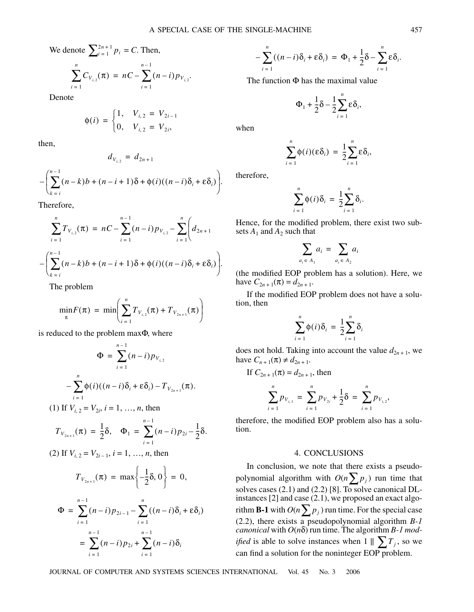We denote 
$$
\sum_{i=1}^{2n+1} p_i = C.
$$
 Then,

$$
\sum_{i=1}^{n} C_{V_{i,2}}(\pi) = nC - \sum_{i=1}^{n-1} (n-i) p_{V_{i,2}}.
$$

Denote

$$
\phi(i) = \begin{cases} 1, & V_{i,2} = V_{2i-1} \\ 0, & V_{i,2} = V_{2i}, \end{cases}
$$

then,

$$
d_{V_{i,2}} = d_{2n+1}
$$

$$
-\left(\sum_{k=i}^{n-1} (n-k)b + (n-i+1)\delta + \phi(i)((n-i)\delta_i + \varepsilon \delta_i)\right).
$$

Therefore,

$$
\sum_{i=1}^{n} T_{V_{i,2}}(\pi) = nC - \sum_{i=1}^{n-1} (n-i) p_{V_{i,2}} - \sum_{i=1}^{n} \left( d_{2n+1} \right)
$$

$$
-\left( \sum_{k=i}^{n-1} (n-k)b + (n-i+1)\delta + \phi(i)((n-i)\delta_i + \epsilon \delta_i) \right).
$$

The problem

$$
\min_{\pi} F(\pi) = \min \left( \sum_{i=1}^{n} T_{V_{i,2}}(\pi) + T_{V_{2n+1}}(\pi) \right)
$$

is reduced to the problem maxΦ, where

$$
\Phi = \sum_{i=1}^{n-1} (n-i) p_{V_{i,2}} \\
-\sum_{i=1}^{n} \phi(i) ((n-i) \delta_i + \varepsilon \delta_i) - T_{V_{2n+1}}(\pi).
$$

(1) If 
$$
V_{i,2} = V_{2i}
$$
,  $i = 1, ..., n$ , then  $n-1$ 

$$
T_{V_{2n+1}}(\pi) = \frac{1}{2}\delta, \quad \Phi_1 = \sum_{i=1}^{n} (n-i)p_{2i} - \frac{1}{2}\delta.
$$

(2) If 
$$
V_{i,2} = V_{2i-1}
$$
,  $i = 1, ..., n$ , then

$$
T_{V_{2n+1}}(\pi) = \max\left\{-\frac{1}{2}\delta, 0\right\} = 0,
$$

$$
\Phi = \sum_{i=1}^{n-1} (n-i)p_{2i-1} - \sum_{i=1}^{n} ((n-i)\delta_i + \varepsilon \delta_i)
$$
  
= 
$$
\sum_{i=1}^{n-1} (n-i)p_{2i} + \sum_{i=1}^{n-1} (n-i)\delta_i
$$

$$
-\sum_{i=1}^n((n-i)\delta_i+\varepsilon\delta_i)=\Phi_1+\frac{1}{2}\delta-\sum_{i=1}^n\varepsilon\delta_i.
$$

The function  $\Phi$  has the maximal value

$$
\Phi_1 + \frac{1}{2}\delta - \frac{1}{2}\sum_{i=1}^n \varepsilon \delta_i,
$$

when

$$
\sum_{i=1}^n \phi(i)(\varepsilon \delta_i) = \frac{1}{2} \sum_{i=1}^n \varepsilon \delta_i,
$$

therefore,

$$
\sum_{i=1}^n \phi(i)\delta_i = \frac{1}{2}\sum_{i=1}^n \delta_i.
$$

Hence, for the modified problem, there exist two subsets  $A_1$  and  $A_2$  such that

$$
\sum_{a_i \in A_1} a_i = \sum_{a_i \in A_2} a_i
$$

(the modified EOP problem has a solution). Here, we have  $C_{2n+1}(\pi) = d_{2n+1}$ .

If the modified EOP problem does not have a solution, then

$$
\sum_{i=1}^{n} \phi(i)\delta_i = \frac{1}{2}\sum_{i=1}^{n} \delta_i
$$

does not hold. Taking into account the value  $d_{2n+1}$ , we have  $C_{n+1}(\pi) \neq d_{2n+1}$ .

If  $C_{2n+1}(\pi) = d_{2n+1}$ , then

$$
\sum_{i=1}^{n} p_{V_{i,1}} = \sum_{i=1}^{n} p_{V_{2i}} + \frac{1}{2} \delta = \sum_{i=1}^{n} p_{V_{i,2}},
$$

therefore, the modified EOP problem also has a solution.

### 4. CONCLUSIONS

In conclusion, we note that there exists a pseudopolynomial algorithm with  $O(n \sum p_j)$  run time that solves cases  $(2.1)$  and  $(2.2)$  [8]. To solve canonical DLinstances [2] and case (2.1), we proposed an exact algorithm **B-1** with  $O(n \sum p_j)$  run time. For the special case (2.2), there exists a pseudopolynomial algorithm *B-1 canonical* with *O*(*n*δ) run time. The algorithm *B-1 modified* is able to solve instances when  $1 \parallel \sum T_j$ , so we can find a solution for the noninteger EOP problem.